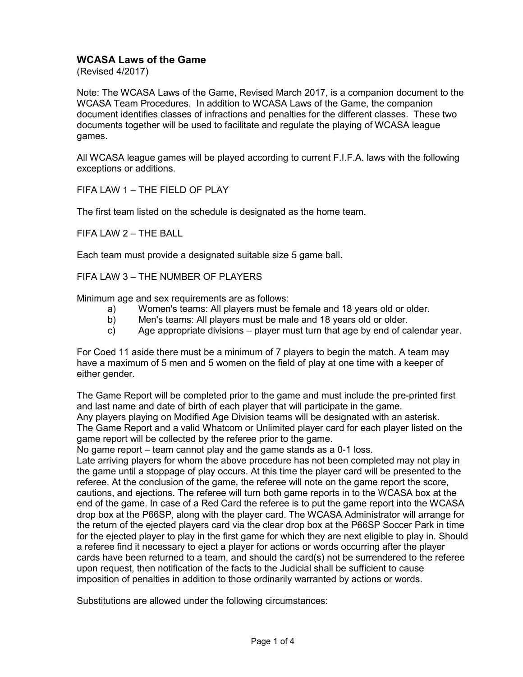## **WCASA Laws of the Game**

(Revised 4/2017)

Note: The WCASA Laws of the Game, Revised March 2017, is a companion document to the WCASA Team Procedures. In addition to WCASA Laws of the Game, the companion document identifies classes of infractions and penalties for the different classes. These two documents together will be used to facilitate and regulate the playing of WCASA league games.

All WCASA league games will be played according to current F.I.F.A. laws with the following exceptions or additions.

FIFA LAW 1 – THE FIELD OF PLAY

The first team listed on the schedule is designated as the home team.

FIFA LAW 2 – THE BALL

Each team must provide a designated suitable size 5 game ball.

FIFA LAW 3 – THE NUMBER OF PLAYERS

Minimum age and sex requirements are as follows:

- a) Women's teams: All players must be female and 18 years old or older.<br>b) Men's teams: All players must be male and 18 years old or older.
- Men's teams: All players must be male and 18 years old or older.
- c) Age appropriate divisions player must turn that age by end of calendar year.

For Coed 11 aside there must be a minimum of 7 players to begin the match. A team may have a maximum of 5 men and 5 women on the field of play at one time with a keeper of either gender.

The Game Report will be completed prior to the game and must include the pre-printed first and last name and date of birth of each player that will participate in the game. Any players playing on Modified Age Division teams will be designated with an asterisk. The Game Report and a valid Whatcom or Unlimited player card for each player listed on the

game report will be collected by the referee prior to the game. No game report – team cannot play and the game stands as a 0-1 loss.

Late arriving players for whom the above procedure has not been completed may not play in the game until a stoppage of play occurs. At this time the player card will be presented to the referee. At the conclusion of the game, the referee will note on the game report the score, cautions, and ejections. The referee will turn both game reports in to the WCASA box at the end of the game. In case of a Red Card the referee is to put the game report into the WCASA drop box at the P66SP, along with the player card. The WCASA Administrator will arrange for the return of the ejected players card via the clear drop box at the P66SP Soccer Park in time for the ejected player to play in the first game for which they are next eligible to play in. Should a referee find it necessary to eject a player for actions or words occurring after the player cards have been returned to a team, and should the card(s) not be surrendered to the referee upon request, then notification of the facts to the Judicial shall be sufficient to cause imposition of penalties in addition to those ordinarily warranted by actions or words.

Substitutions are allowed under the following circumstances: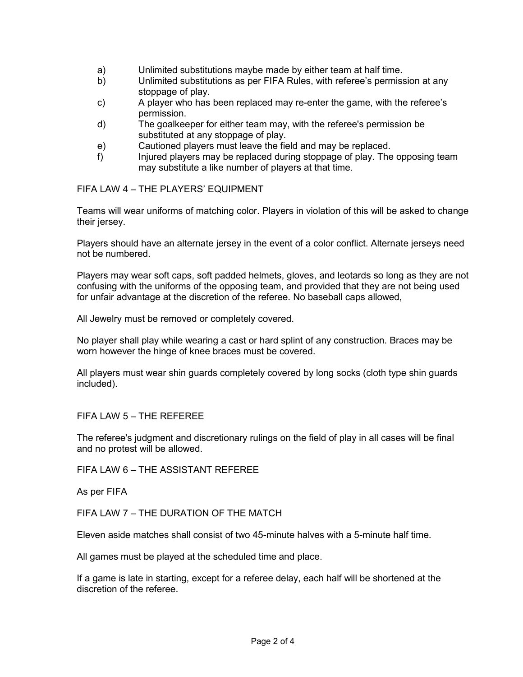- a) Unlimited substitutions maybe made by either team at half time.
- b) Unlimited substitutions as per FIFA Rules, with referee's permission at any stoppage of play.
- c) A player who has been replaced may re-enter the game, with the referee's permission.
- d) The goalkeeper for either team may, with the referee's permission be substituted at any stoppage of play.
- e) Cautioned players must leave the field and may be replaced.
- f) Injured players may be replaced during stoppage of play. The opposing team may substitute a like number of players at that time.

FIFA LAW 4 – THE PLAYERS' EQUIPMENT

Teams will wear uniforms of matching color. Players in violation of this will be asked to change their jersey.

Players should have an alternate jersey in the event of a color conflict. Alternate jerseys need not be numbered.

Players may wear soft caps, soft padded helmets, gloves, and leotards so long as they are not confusing with the uniforms of the opposing team, and provided that they are not being used for unfair advantage at the discretion of the referee. No baseball caps allowed,

All Jewelry must be removed or completely covered.

No player shall play while wearing a cast or hard splint of any construction. Braces may be worn however the hinge of knee braces must be covered.

All players must wear shin guards completely covered by long socks (cloth type shin guards included).

## FIFA LAW 5 – THE REFEREE

The referee's judgment and discretionary rulings on the field of play in all cases will be final and no protest will be allowed.

FIFA LAW 6 – THE ASSISTANT REFEREE

As per FIFA

FIFA LAW 7 – THE DURATION OF THE MATCH

Eleven aside matches shall consist of two 45-minute halves with a 5-minute half time.

All games must be played at the scheduled time and place.

If a game is late in starting, except for a referee delay, each half will be shortened at the discretion of the referee.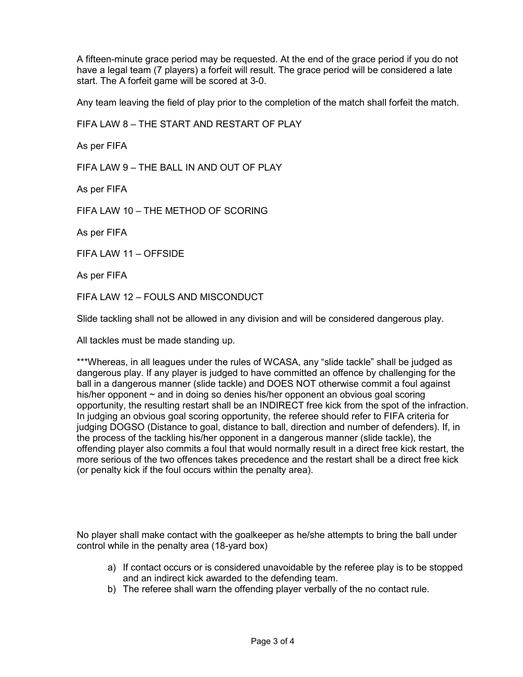A fifteen-minute grace period may be requested. At the end of the grace period if you do not have a legal team (7 players) a forfeit will result. The grace period will be considered a late start. The A forfeit game will be scored at 3-0.

Any team leaving the field of play prior to the completion of the match shall forfeit the match.

FIFA LAW 8 – THE START AND RESTART OF PLAY As per FIFA FIFA LAW  $9 - THE BAIL IN AND OUT OF PI AY$ As per FIFA FIFA LAW 10 – THE METHOD OF SCORING As per FIFA FIFA LAW 11 – OFFSIDE As per FIFA FIFA LAW 12 – FOULS AND MISCONDUCT

Slide tackling shall not be allowed in any division and will be considered dangerous play.

All tackles must be made standing up.

\*\*\*Whereas, in all leagues under the rules of WCASA, any "slide tackle" shall be judged as dangerous play. If any player is judged to have committed an offence by challenging for the ball in a dangerous manner (slide tackle) and DOES NOT otherwise commit a foul against his/her opponent ~ and in doing so denies his/her opponent an obvious goal scoring opportunity, the resulting restart shall be an INDIRECT free kick from the spot of the infraction. In judging an obvious goal scoring opportunity, the referee should refer to FIFA criteria for judging DOGSO (Distance to goal, distance to ball, direction and number of defenders). If, in the process of the tackling his/her opponent in a dangerous manner (slide tackle), the offending player also commits a foul that would normally result in a direct free kick restart, the more serious of the two offences takes precedence and the restart shall be a direct free kick (or penalty kick if the foul occurs within the penalty area).

No player shall make contact with the goalkeeper as he/she attempts to bring the ball under control while in the penalty area (18-yard box)

- a) If contact occurs or is considered unavoidable by the referee play is to be stopped and an indirect kick awarded to the defending team.
- b) The referee shall warn the offending player verbally of the no contact rule.